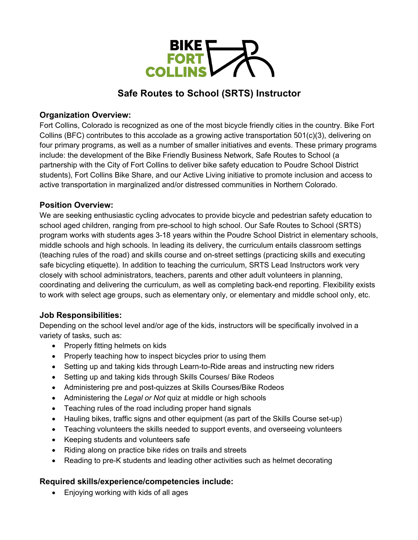

# **Safe Routes to School (SRTS) Instructor**

### **Organization Overview:**

Fort Collins, Colorado is recognized as one of the most bicycle friendly cities in the country. Bike Fort Collins (BFC) contributes to this accolade as a growing active transportation 501(c)(3), delivering on four primary programs, as well as a number of smaller initiatives and events. These primary programs include: the development of the Bike Friendly Business Network, Safe Routes to School (a partnership with the City of Fort Collins to deliver bike safety education to Poudre School District students), Fort Collins Bike Share, and our Active Living initiative to promote inclusion and access to active transportation in marginalized and/or distressed communities in Northern Colorado.

## **Position Overview:**

We are seeking enthusiastic cycling advocates to provide bicycle and pedestrian safety education to school aged children, ranging from pre-school to high school. Our Safe Routes to School (SRTS) program works with students ages 3-18 years within the Poudre School District in elementary schools, middle schools and high schools. In leading its delivery, the curriculum entails classroom settings (teaching rules of the road) and skills course and on-street settings (practicing skills and executing safe bicycling etiquette). In addition to teaching the curriculum, SRTS Lead Instructors work very closely with school administrators, teachers, parents and other adult volunteers in planning, coordinating and delivering the curriculum, as well as completing back-end reporting. Flexibility exists to work with select age groups, such as elementary only, or elementary and middle school only, etc.

# **Job Responsibilities:**

Depending on the school level and/or age of the kids, instructors will be specifically involved in a variety of tasks, such as:

- Properly fitting helmets on kids
- Properly teaching how to inspect bicycles prior to using them
- Setting up and taking kids through Learn-to-Ride areas and instructing new riders
- Setting up and taking kids through Skills Courses/ Bike Rodeos
- Administering pre and post-quizzes at Skills Courses/Bike Rodeos
- Administering the *Legal or Not* quiz at middle or high schools
- Teaching rules of the road including proper hand signals
- Hauling bikes, traffic signs and other equipment (as part of the Skills Course set-up)
- Teaching volunteers the skills needed to support events, and overseeing volunteers
- Keeping students and volunteers safe
- Riding along on practice bike rides on trails and streets
- Reading to pre-K students and leading other activities such as helmet decorating

### **Required skills/experience/competencies include:**

• Enjoying working with kids of all ages